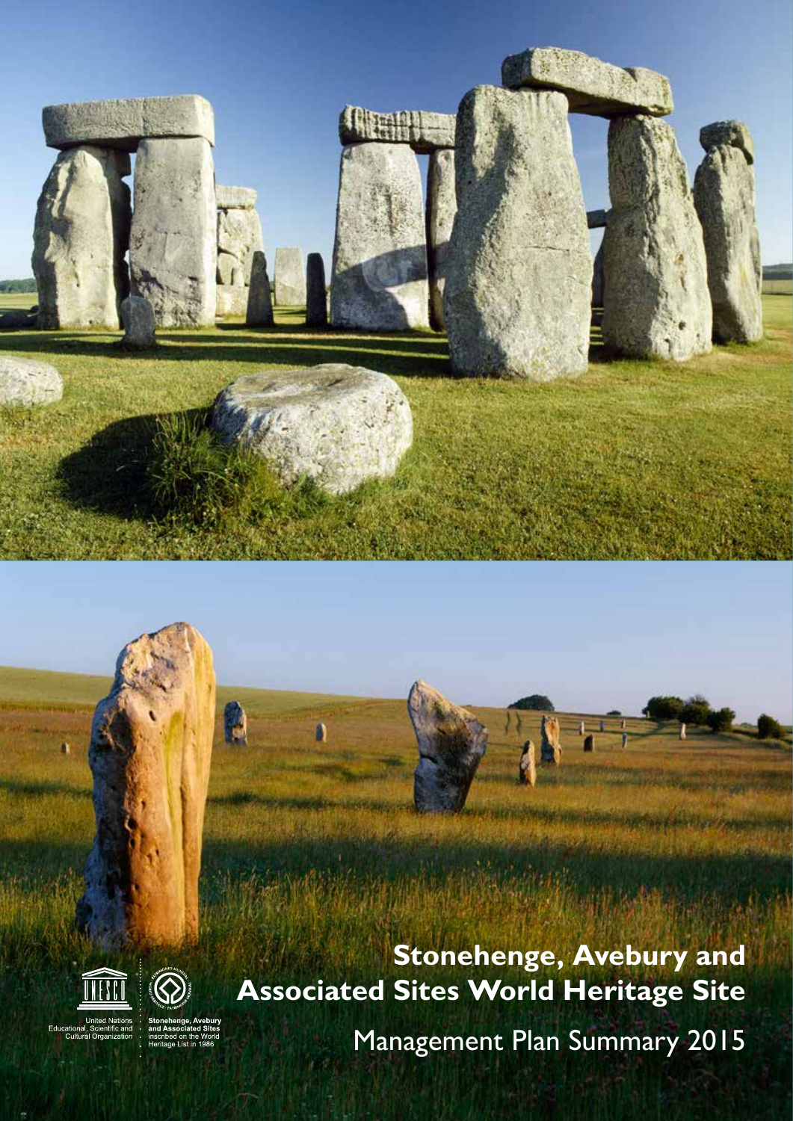# **Stonehenge, Avebury and Associated Sites World Heritage Site**

**Stonehenge, Avebury and Associated Sites World Heritage Site** Management Plan Summary 2015 **1**

Management Plan Summary 2015





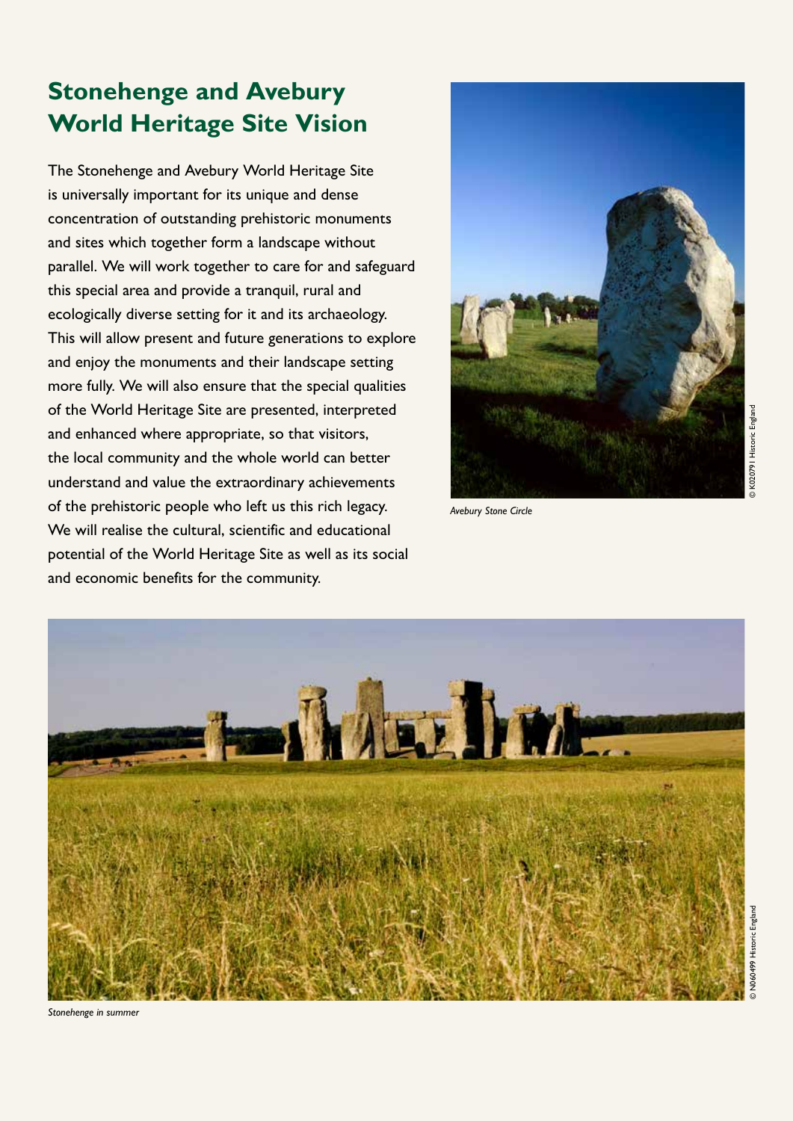# **Stonehenge and Avebury World Heritage Site Vision**

The Stonehenge and Avebury World Heritage Site is universally important for its unique and dense concentration of outstanding prehistoric monuments and sites which together form a landscape without parallel. We will work together to care for and safeguard this special area and provide a tranquil, rural and ecologically diverse setting for it and its archaeology. This will allow present and future generations to explore and enjoy the monuments and their landscape setting more fully. We will also ensure that the special qualities of the World Heritage Site are presented, interpreted and enhanced where appropriate, so that visitors, the local community and the whole world can better understand and value the extraordinary achievements of the prehistoric people who left us this rich legacy. We will realise the cultural, scientific and educational potential of the World Heritage Site as well as its social and economic benefits for the community.



*Avebury Stone Circle*



*Stonehenge in summer*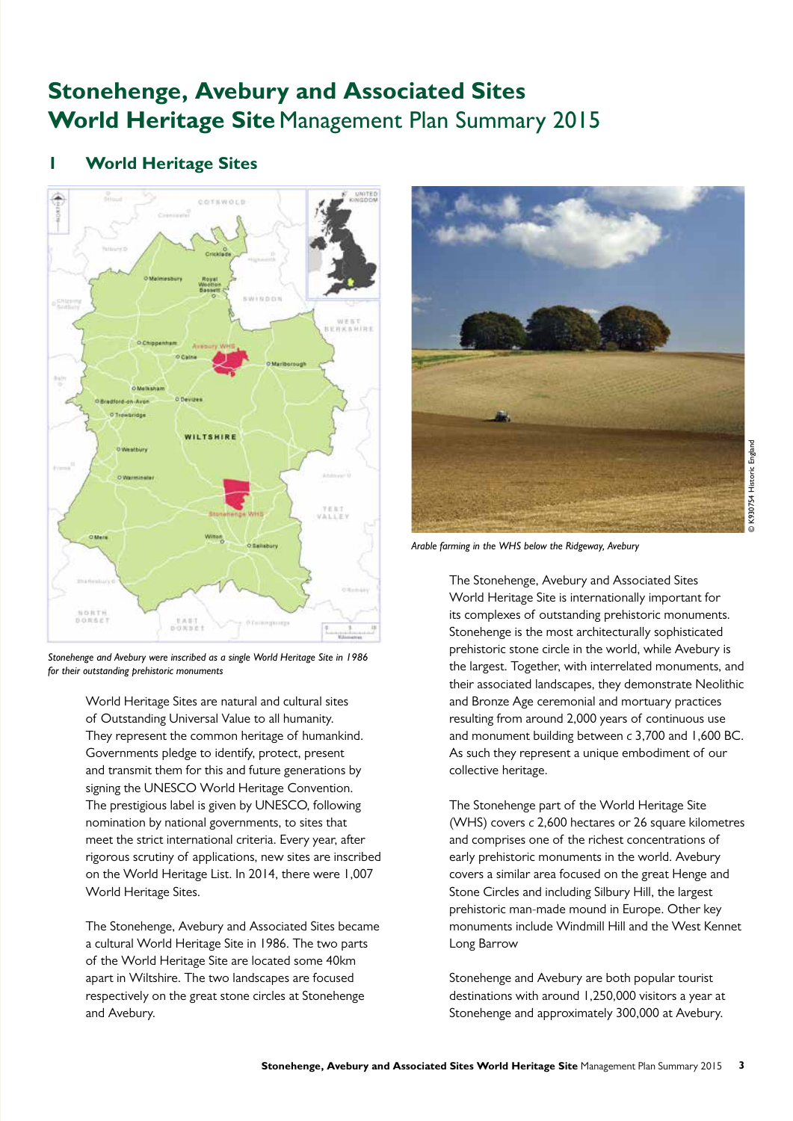# **Stonehenge, Avebury and Associated Sites**  World Heritage Site Management Plan Summary 2015

# **1 World Heritage Sites**



*Stonehenge and Avebury were inscribed as a single World Heritage Site in 1986 for their outstanding prehistoric monuments*

 World Heritage Sites are natural and cultural sites of Outstanding Universal Value to all humanity. They represent the common heritage of humankind. Governments pledge to identify, protect, present and transmit them for this and future generations by signing the UNESCO World Heritage Convention. The prestigious label is given by UNESCO, following nomination by national governments, to sites that meet the strict international criteria. Every year, after rigorous scrutiny of applications, new sites are inscribed on the World Heritage List. In 2014, there were 1,007 World Heritage Sites.

 The Stonehenge, Avebury and Associated Sites became a cultural World Heritage Site in 1986. The two parts of the World Heritage Site are located some 40km apart in Wiltshire. The two landscapes are focused respectively on the great stone circles at Stonehenge and Avebury.



*Arable farming in the WHS below the Ridgeway, Avebury* 

 The Stonehenge, Avebury and Associated Sites World Heritage Site is internationally important for its complexes of outstanding prehistoric monuments. Stonehenge is the most architecturally sophisticated prehistoric stone circle in the world, while Avebury is the largest. Together, with interrelated monuments, and their associated landscapes, they demonstrate Neolithic and Bronze Age ceremonial and mortuary practices resulting from around 2,000 years of continuous use and monument building between *c* 3,700 and 1,600 BC. As such they represent a unique embodiment of our collective heritage.

 The Stonehenge part of the World Heritage Site (WHS) covers *c* 2,600 hectares or 26 square kilometres and comprises one of the richest concentrations of early prehistoric monuments in the world. Avebury covers a similar area focused on the great Henge and Stone Circles and including Silbury Hill, the largest prehistoric man-made mound in Europe. Other key monuments include Windmill Hill and the West Kennet Long Barrow

 Stonehenge and Avebury are both popular tourist destinations with around 1,250,000 visitors a year at Stonehenge and approximately 300,000 at Avebury.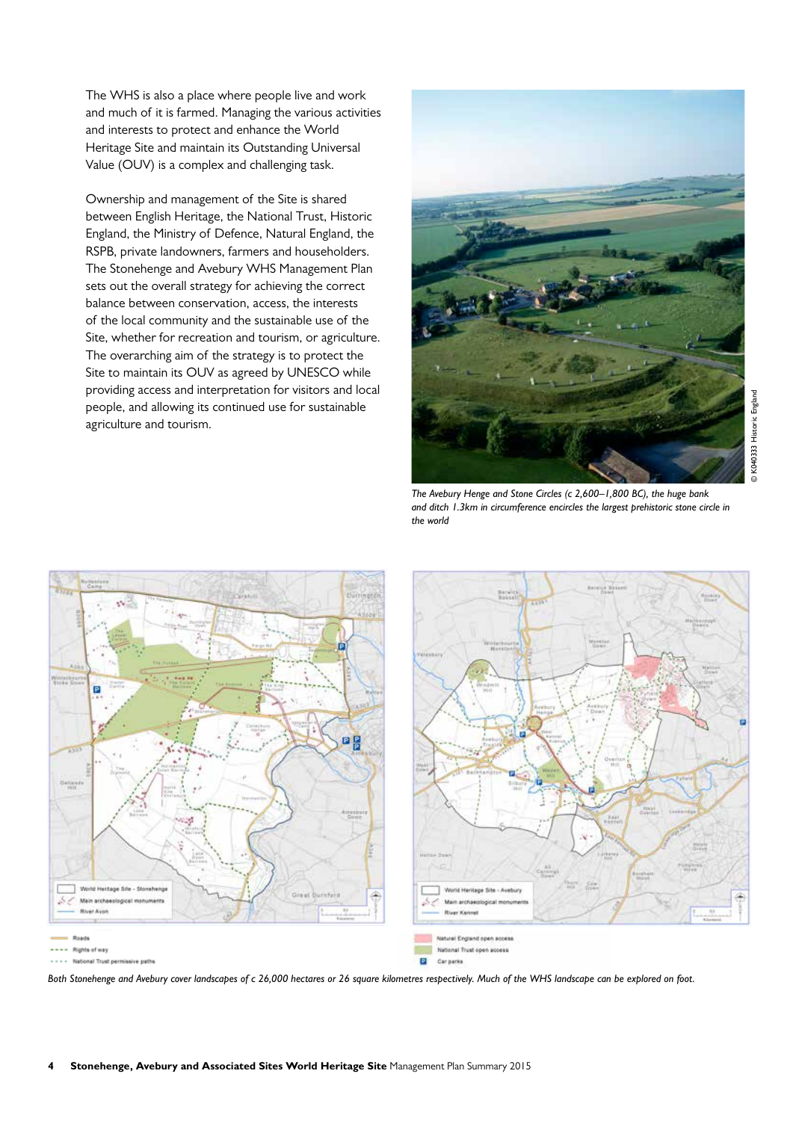The WHS is also a place where people live and work and much of it is farmed. Managing the various activities and interests to protect and enhance the World Heritage Site and maintain its Outstanding Universal Value (OUV) is a complex and challenging task.

 Ownership and management of the Site is shared between English Heritage, the National Trust, Historic England, the Ministry of Defence, Natural England, the RSPB, private landowners, farmers and householders. The Stonehenge and Avebury WHS Management Plan sets out the overall strategy for achieving the correct balance between conservation, access, the interests of the local community and the sustainable use of the Site, whether for recreation and tourism, or agriculture. The overarching aim of the strategy is to protect the Site to maintain its OUV as agreed by UNESCO while providing access and interpretation for visitors and local people, and allowing its continued use for sustainable agriculture and tourism.



*The Avebury Henge and Stone Circles (c 2,600–1,800 BC), the huge bank and ditch 1.3km in circumference encircles the largest prehistoric stone circle in the world*



*Both Stonehenge and Avebury cover landscapes of c 26,000 hectares or 26 square kilometres respectively. Much of the WHS landscape can be explored on foot.*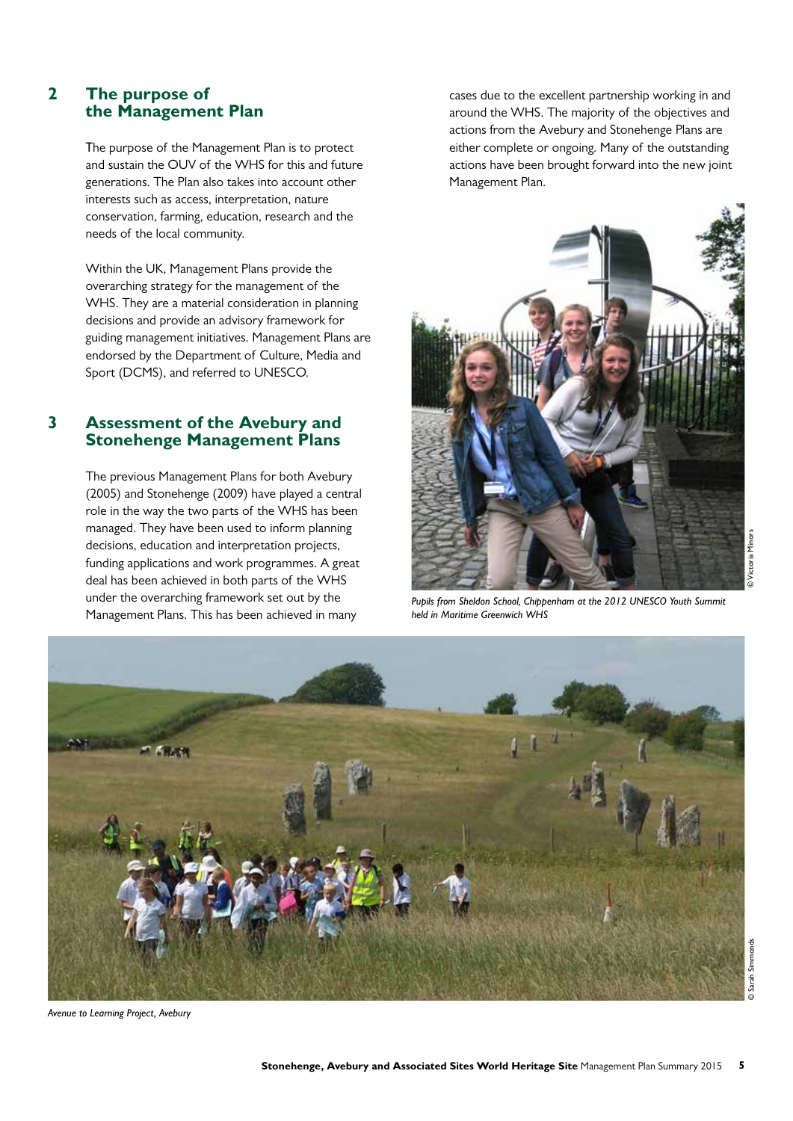# **2 The purpose of the Management Plan**

 The purpose of the Management Plan is to protect and sustain the OUV of the WHS for this and future generations. The Plan also takes into account other interests such as access, interpretation, nature conservation, farming, education, research and the needs of the local community.

 Within the UK, Management Plans provide the overarching strategy for the management of the WHS. They are a material consideration in planning decisions and provide an advisory framework for guiding management initiatives. Management Plans are endorsed by the Department of Culture, Media and Sport (DCMS), and referred to UNESCO.

# **3 Assessment of the Avebury and Stonehenge Management Plans**

 The previous Management Plans for both Avebury (2005) and Stonehenge (2009) have played a central role in the way the two parts of the WHS has been managed. They have been used to inform planning decisions, education and interpretation projects, funding applications and work programmes. A great deal has been achieved in both parts of the WHS under the overarching framework set out by the Management Plans. This has been achieved in many

cases due to the excellent partnership working in and around the WHS. The majority of the objectives and actions from the Avebury and Stonehenge Plans are either complete or ongoing. Many of the outstanding actions have been brought forward into the new joint Management Plan.



*Pupils from Sheldon School, Chippenham at the 2012 UNESCO Youth Summit held in Maritime Greenwich WHS*



*Avenue to Learning Project, Avebury*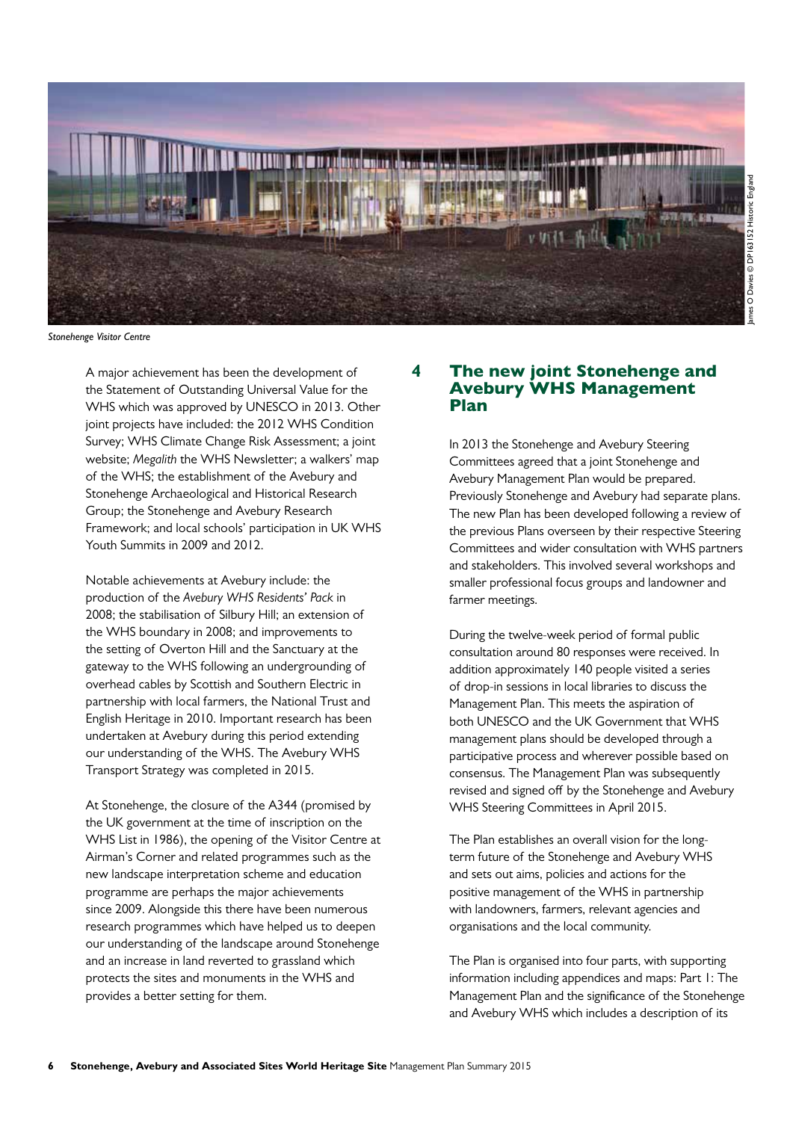

*Stonehenge Visitor Centre*

 A major achievement has been the development of the Statement of Outstanding Universal Value for the WHS which was approved by UNESCO in 2013. Other joint projects have included: the 2012 WHS Condition Survey; WHS Climate Change Risk Assessment; a joint website; *Megalith* the WHS Newsletter; a walkers' map of the WHS; the establishment of the Avebury and Stonehenge Archaeological and Historical Research Group; the Stonehenge and Avebury Research Framework; and local schools' participation in UK WHS Youth Summits in 2009 and 2012.

 Notable achievements at Avebury include: the production of the *Avebury WHS Residents' Pack* in 2008; the stabilisation of Silbury Hill; an extension of the WHS boundary in 2008; and improvements to the setting of Overton Hill and the Sanctuary at the gateway to the WHS following an undergrounding of overhead cables by Scottish and Southern Electric in partnership with local farmers, the National Trust and English Heritage in 2010. Important research has been undertaken at Avebury during this period extending our understanding of the WHS. The Avebury WHS Transport Strategy was completed in 2015.

 At Stonehenge, the closure of the A344 (promised by the UK government at the time of inscription on the WHS List in 1986), the opening of the Visitor Centre at Airman's Corner and related programmes such as the new landscape interpretation scheme and education programme are perhaps the major achievements since 2009. Alongside this there have been numerous research programmes which have helped us to deepen our understanding of the landscape around Stonehenge and an increase in land reverted to grassland which protects the sites and monuments in the WHS and provides a better setting for them.

### **4** The new joint Stonehenge and Avebury WHS Management Plan

 In 2013 the Stonehenge and Avebury Steering Committees agreed that a joint Stonehenge and Avebury Management Plan would be prepared. Previously Stonehenge and Avebury had separate plans. The new Plan has been developed following a review of the previous Plans overseen by their respective Steering Committees and wider consultation with WHS partners and stakeholders. This involved several workshops and smaller professional focus groups and landowner and farmer meetings.

 During the twelve-week period of formal public consultation around 80 responses were received. In addition approximately 140 people visited a series of drop-in sessions in local libraries to discuss the Management Plan. This meets the aspiration of both UNESCO and the UK Government that WHS management plans should be developed through a participative process and wherever possible based on consensus. The Management Plan was subsequently revised and signed off by the Stonehenge and Avebury WHS Steering Committees in April 2015.

 The Plan establishes an overall vision for the longterm future of the Stonehenge and Avebury WHS and sets out aims, policies and actions for the positive management of the WHS in partnership with landowners, farmers, relevant agencies and organisations and the local community.

 The Plan is organised into four parts, with supporting information including appendices and maps: Part 1: The Management Plan and the significance of the Stonehenge and Avebury WHS which includes a description of its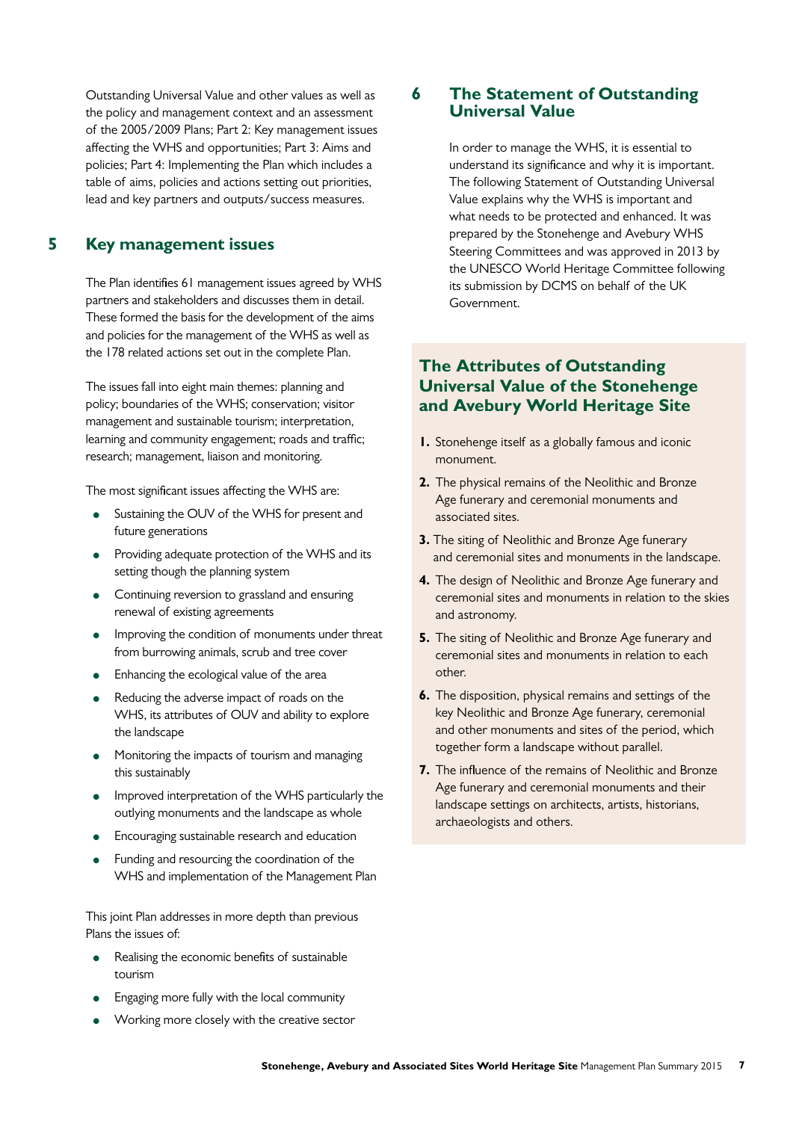Outstanding Universal Value and other values as well as the policy and management context and an assessment of the 2005/2009 Plans; Part 2: Key management issues affecting the WHS and opportunities; Part 3: Aims and policies; Part 4: Implementing the Plan which includes a table of aims, policies and actions setting out priorities, lead and key partners and outputs/success measures.

# **5 Key management issues**

 The Plan identifies 61 management issues agreed by WHS partners and stakeholders and discusses them in detail. These formed the basis for the development of the aims and policies for the management of the WHS as well as the 178 related actions set out in the complete Plan.

 The issues fall into eight main themes: planning and policy; boundaries of the WHS; conservation; visitor management and sustainable tourism; interpretation, learning and community engagement; roads and traffic; research; management, liaison and monitoring.

The most significant issues affecting the WHS are:

- Sustaining the OUV of the WHS for present and future generations
- Providing adequate protection of the WHS and its setting though the planning system
- Continuing reversion to grassland and ensuring renewal of existing agreements
- Improving the condition of monuments under threat from burrowing animals, scrub and tree cover
- Enhancing the ecological value of the area
- Reducing the adverse impact of roads on the WHS, its attributes of OUV and ability to explore the landscape
- Monitoring the impacts of tourism and managing this sustainably
- Improved interpretation of the WHS particularly the outlying monuments and the landscape as whole
- Encouraging sustainable research and education
- Funding and resourcing the coordination of the WHS and implementation of the Management Plan

 This joint Plan addresses in more depth than previous Plans the issues of:

- Realising the economic benefits of sustainable tourism
- Engaging more fully with the local community
- Working more closely with the creative sector

# **6 The Statement of Outstanding Universal Value**

 In order to manage the WHS, it is essential to understand its significance and why it is important. The following Statement of Outstanding Universal Value explains why the WHS is important and what needs to be protected and enhanced. It was prepared by the Stonehenge and Avebury WHS Steering Committees and was approved in 2013 by the UNESCO World Heritage Committee following its submission by DCMS on behalf of the UK Government.

# **The Attributes of Outstanding Universal Value of the Stonehenge and Avebury World Heritage Site**

- **1.** Stonehenge itself as a globally famous and iconic monument.
- **2.** The physical remains of the Neolithic and Bronze Age funerary and ceremonial monuments and associated sites.
- **3.** The siting of Neolithic and Bronze Age funerary and ceremonial sites and monuments in the landscape.
- **4.** The design of Neolithic and Bronze Age funerary and ceremonial sites and monuments in relation to the skies and astronomy.
- **5.** The siting of Neolithic and Bronze Age funerary and ceremonial sites and monuments in relation to each other.
- **6.** The disposition, physical remains and settings of the key Neolithic and Bronze Age funerary, ceremonial and other monuments and sites of the period, which together form a landscape without parallel.
- **7.** The influence of the remains of Neolithic and Bronze Age funerary and ceremonial monuments and their landscape settings on architects, artists, historians, archaeologists and others.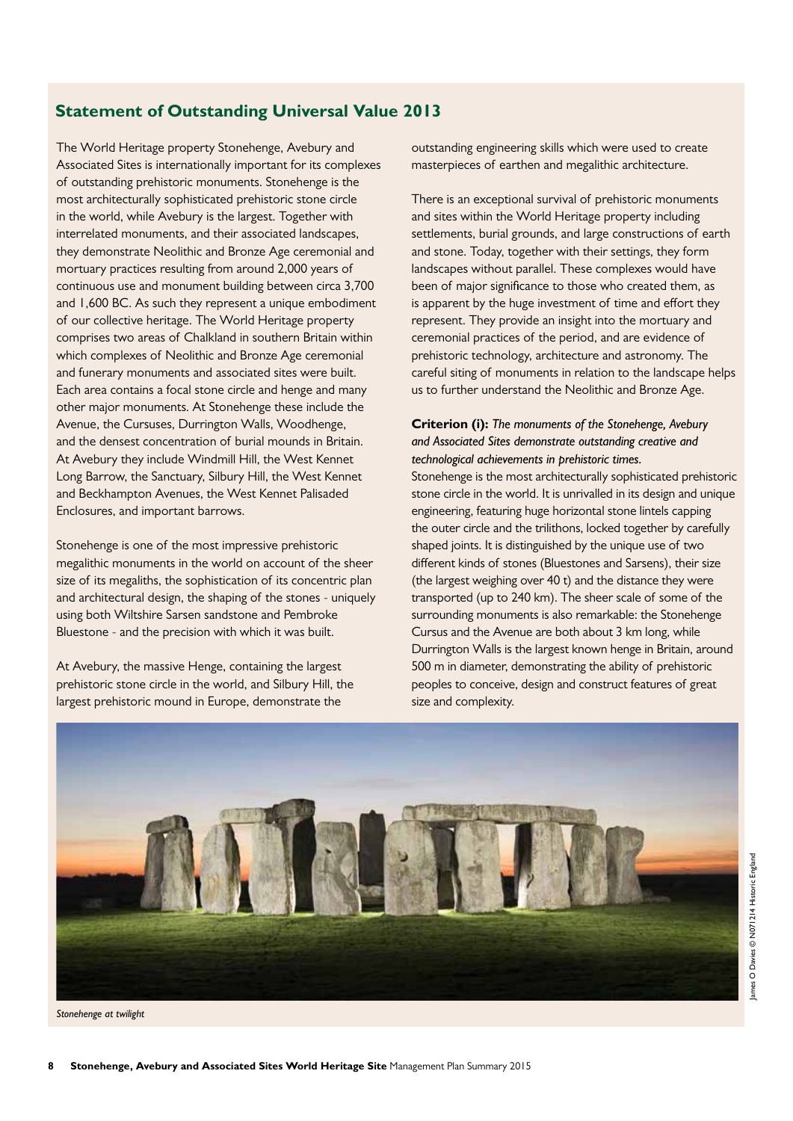# **Statement of Outstanding Universal Value 2013**

The World Heritage property Stonehenge, Avebury and Associated Sites is internationally important for its complexes of outstanding prehistoric monuments. Stonehenge is the most architecturally sophisticated prehistoric stone circle in the world, while Avebury is the largest. Together with interrelated monuments, and their associated landscapes, they demonstrate Neolithic and Bronze Age ceremonial and mortuary practices resulting from around 2,000 years of continuous use and monument building between circa 3,700 and 1,600 BC. As such they represent a unique embodiment of our collective heritage. The World Heritage property comprises two areas of Chalkland in southern Britain within which complexes of Neolithic and Bronze Age ceremonial and funerary monuments and associated sites were built. Each area contains a focal stone circle and henge and many other major monuments. At Stonehenge these include the Avenue, the Cursuses, Durrington Walls, Woodhenge, and the densest concentration of burial mounds in Britain. At Avebury they include Windmill Hill, the West Kennet Long Barrow, the Sanctuary, Silbury Hill, the West Kennet and Beckhampton Avenues, the West Kennet Palisaded Enclosures, and important barrows.

Stonehenge is one of the most impressive prehistoric megalithic monuments in the world on account of the sheer size of its megaliths, the sophistication of its concentric plan and architectural design, the shaping of the stones - uniquely using both Wiltshire Sarsen sandstone and Pembroke Bluestone - and the precision with which it was built.

At Avebury, the massive Henge, containing the largest prehistoric stone circle in the world, and Silbury Hill, the largest prehistoric mound in Europe, demonstrate the

outstanding engineering skills which were used to create masterpieces of earthen and megalithic architecture.

There is an exceptional survival of prehistoric monuments and sites within the World Heritage property including settlements, burial grounds, and large constructions of earth and stone. Today, together with their settings, they form landscapes without parallel. These complexes would have been of major significance to those who created them, as is apparent by the huge investment of time and effort they represent. They provide an insight into the mortuary and ceremonial practices of the period, and are evidence of prehistoric technology, architecture and astronomy. The careful siting of monuments in relation to the landscape helps us to further understand the Neolithic and Bronze Age.

### **Criterion (i):** *The monuments of the Stonehenge, Avebury and Associated Sites demonstrate outstanding creative and technological achievements in prehistoric times.*

Stonehenge is the most architecturally sophisticated prehistoric stone circle in the world. It is unrivalled in its design and unique engineering, featuring huge horizontal stone lintels capping the outer circle and the trilithons, locked together by carefully shaped joints. It is distinguished by the unique use of two different kinds of stones (Bluestones and Sarsens), their size (the largest weighing over 40 t) and the distance they were transported (up to 240 km). The sheer scale of some of the surrounding monuments is also remarkable: the Stonehenge Cursus and the Avenue are both about 3 km long, while Durrington Walls is the largest known henge in Britain, around 500 m in diameter, demonstrating the ability of prehistoric peoples to conceive, design and construct features of great size and complexity.



*Stonehenge at twilight*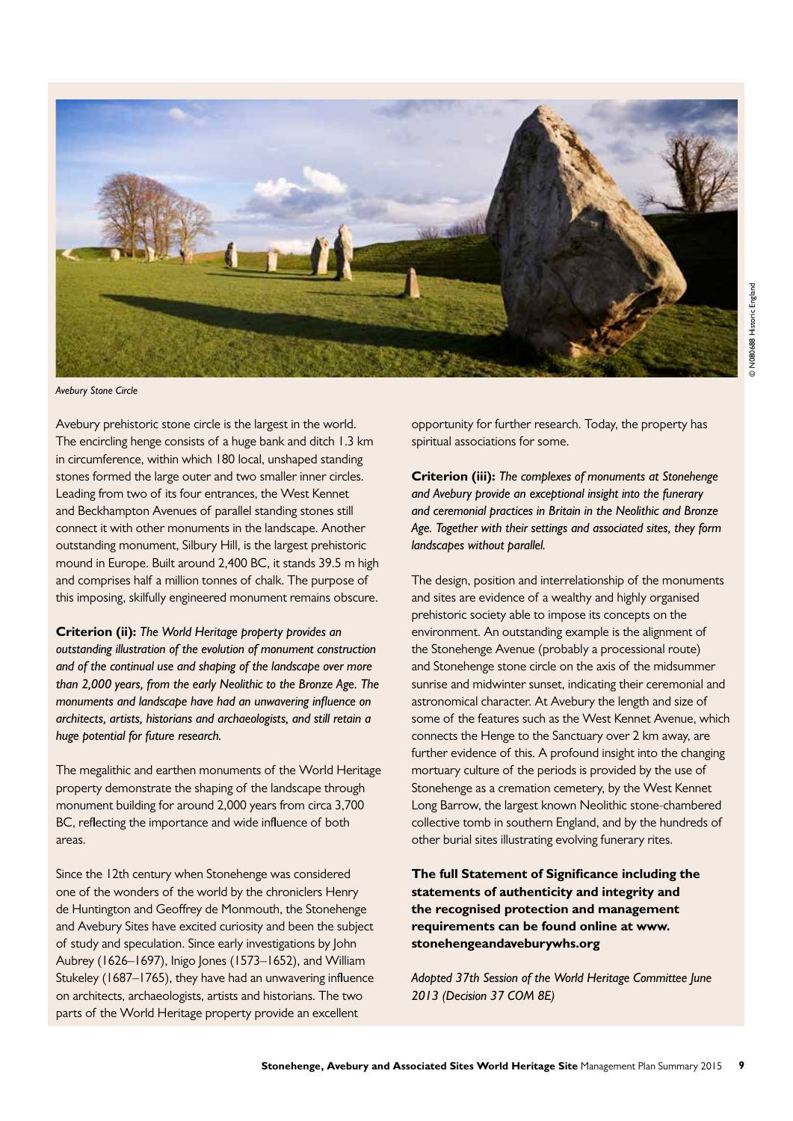

*Avebury Stone Circle*

Avebury prehistoric stone circle is the largest in the world. The encircling henge consists of a huge bank and ditch 1.3 km in circumference, within which 180 local, unshaped standing stones formed the large outer and two smaller inner circles. Leading from two of its four entrances, the West Kennet and Beckhampton Avenues of parallel standing stones still connect it with other monuments in the landscape. Another outstanding monument, Silbury Hill, is the largest prehistoric mound in Europe. Built around 2,400 BC, it stands 39.5 m high and comprises half a million tonnes of chalk. The purpose of this imposing, skilfully engineered monument remains obscure.

**Criterion (ii):** *The World Heritage property provides an outstanding illustration of the evolution of monument construction and of the continual use and shaping of the landscape over more than 2,000 years, from the early Neolithic to the Bronze Age. The monuments and landscape have had an unwavering influence on architects, artists, historians and archaeologists, and still retain a huge potential for future research.*

The megalithic and earthen monuments of the World Heritage property demonstrate the shaping of the landscape through monument building for around 2,000 years from circa 3,700 BC, reflecting the importance and wide influence of both areas.

Since the 12th century when Stonehenge was considered one of the wonders of the world by the chroniclers Henry de Huntington and Geoffrey de Monmouth, the Stonehenge and Avebury Sites have excited curiosity and been the subject of study and speculation. Since early investigations by John Aubrey (1626–1697), Inigo Jones (1573–1652), and William Stukeley (1687–1765), they have had an unwavering influence on architects, archaeologists, artists and historians. The two parts of the World Heritage property provide an excellent

opportunity for further research. Today, the property has spiritual associations for some.

**Criterion (iii):** *The complexes of monuments at Stonehenge and Avebury provide an exceptional insight into the funerary and ceremonial practices in Britain in the Neolithic and Bronze Age. Together with their settings and associated sites, they form landscapes without parallel.*

The design, position and interrelationship of the monuments and sites are evidence of a wealthy and highly organised prehistoric society able to impose its concepts on the environment. An outstanding example is the alignment of the Stonehenge Avenue (probably a processional route) and Stonehenge stone circle on the axis of the midsummer sunrise and midwinter sunset, indicating their ceremonial and astronomical character. At Avebury the length and size of some of the features such as the West Kennet Avenue, which connects the Henge to the Sanctuary over 2 km away, are further evidence of this. A profound insight into the changing mortuary culture of the periods is provided by the use of Stonehenge as a cremation cemetery, by the West Kennet Long Barrow, the largest known Neolithic stone-chambered collective tomb in southern England, and by the hundreds of other burial sites illustrating evolving funerary rites.

**The full Statement of Significance including the statements of authenticity and integrity and the recognised protection and management requirements can be found online at www. stonehengeandaveburywhs.org**

*Adopted 37th Session of the World Heritage Committee June 2013 (Decision 37 COM 8E)*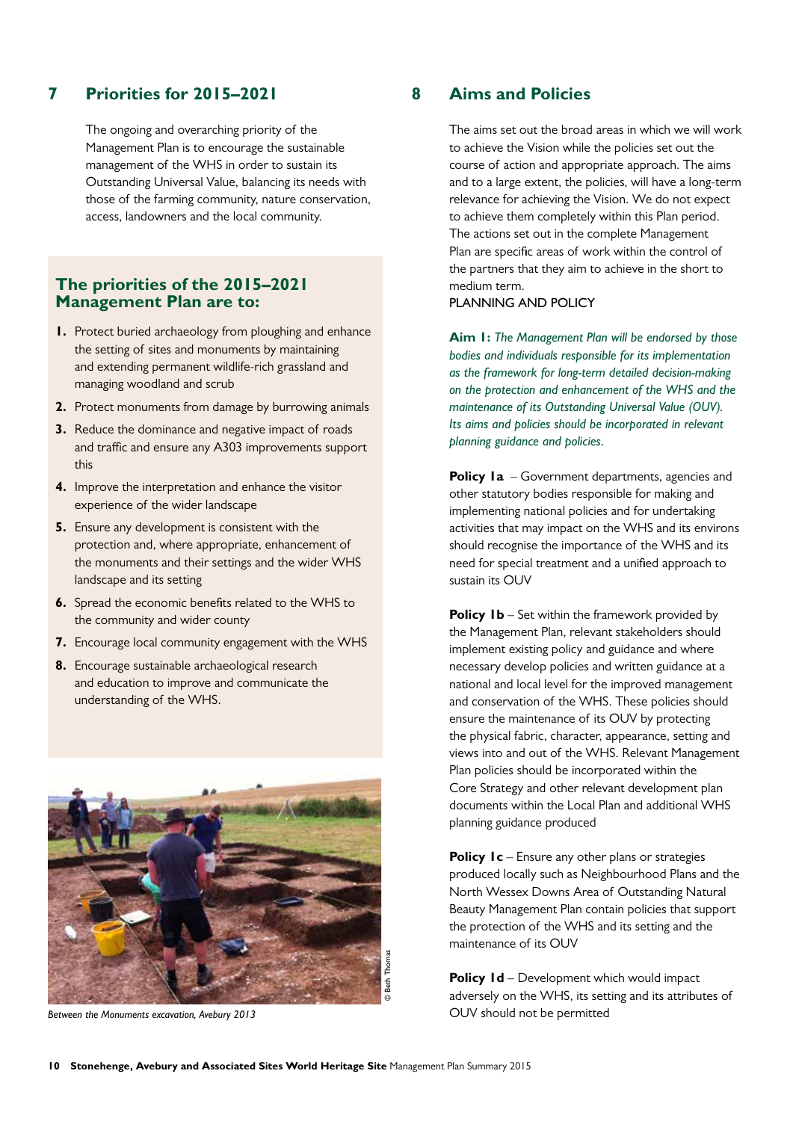# **7 Priorities for 2015–2021**

 The ongoing and overarching priority of the Management Plan is to encourage the sustainable management of the WHS in order to sustain its Outstanding Universal Value, balancing its needs with those of the farming community, nature conservation, access, landowners and the local community.

### **The priorities of the 2015–2021 Management Plan are to:**

- **1.** Protect buried archaeology from ploughing and enhance the setting of sites and monuments by maintaining and extending permanent wildlife-rich grassland and managing woodland and scrub
- **2.** Protect monuments from damage by burrowing animals
- **3.** Reduce the dominance and negative impact of roads and traffic and ensure any A303 improvements support this
- **4.** Improve the interpretation and enhance the visitor experience of the wider landscape
- **5.** Ensure any development is consistent with the protection and, where appropriate, enhancement of the monuments and their settings and the wider WHS landscape and its setting
- **6.** Spread the economic benefits related to the WHS to the community and wider county
- **7.** Encourage local community engagement with the WHS
- **8.** Encourage sustainable archaeological research and education to improve and communicate the understanding of the WHS.



*Between the Monuments excavation, Avebury 2013*

# **8 Aims and Policies**

 The aims set out the broad areas in which we will work to achieve the Vision while the policies set out the course of action and appropriate approach. The aims and to a large extent, the policies, will have a long-term relevance for achieving the Vision. We do not expect to achieve them completely within this Plan period. The actions set out in the complete Management Plan are specific areas of work within the control of the partners that they aim to achieve in the short to medium term.

#### PLANNING AND POLICY

**Aim 1:** *The Management Plan will be endorsed by those bodies and individuals responsible for its implementation as the framework for long-term detailed decision-making on the protection and enhancement of the WHS and the maintenance of its Outstanding Universal Value (OUV). Its aims and policies should be incorporated in relevant planning guidance and policies.*

**Policy 1a** – Government departments, agencies and other statutory bodies responsible for making and implementing national policies and for undertaking activities that may impact on the WHS and its environs should recognise the importance of the WHS and its need for special treatment and a unified approach to sustain its OUV

**Policy 1b** – Set within the framework provided by the Management Plan, relevant stakeholders should implement existing policy and guidance and where necessary develop policies and written guidance at a national and local level for the improved management and conservation of the WHS. These policies should ensure the maintenance of its OUV by protecting the physical fabric, character, appearance, setting and views into and out of the WHS. Relevant Management Plan policies should be incorporated within the Core Strategy and other relevant development plan documents within the Local Plan and additional WHS planning guidance produced

**Policy 1c** – Ensure any other plans or strategies produced locally such as Neighbourhood Plans and the North Wessex Downs Area of Outstanding Natural Beauty Management Plan contain policies that support the protection of the WHS and its setting and the maintenance of its OUV

**Policy 1d** – Development which would impact adversely on the WHS, its setting and its attributes of OUV should not be permitted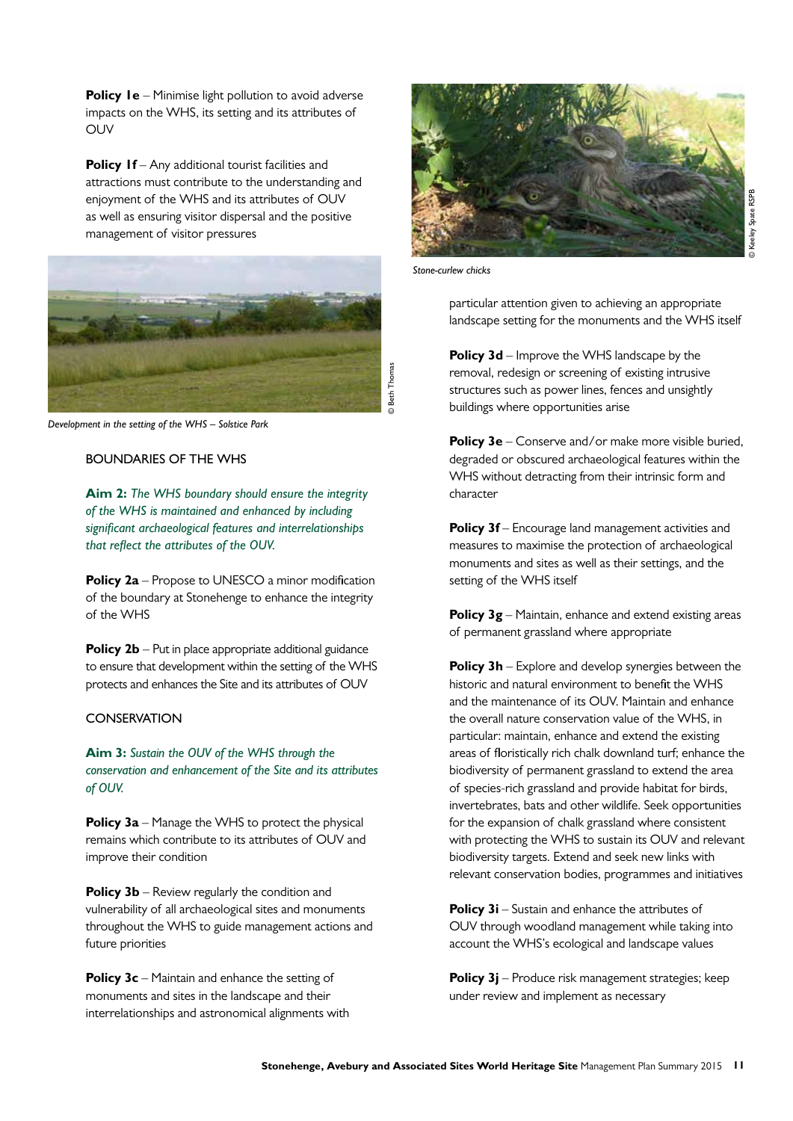**Policy Ie** – Minimise light pollution to avoid adverse impacts on the WHS, its setting and its attributes of OUV

**Policy If** – Any additional tourist facilities and attractions must contribute to the understanding and enjoyment of the WHS and its attributes of OUV as well as ensuring visitor dispersal and the positive management of visitor pressures



*Development in the setting of the WHS – Solstice Park* 

#### BOUNDARIES OF THE WHS

**Aim 2:** *The WHS boundary should ensure the integrity of the WHS is maintained and enhanced by including significant archaeological features and interrelationships that reflect the attributes of the OUV.*

**Policy 2a** – Propose to UNESCO a minor modification of the boundary at Stonehenge to enhance the integrity of the WHS

**Policy 2b** – Put in place appropriate additional guidance to ensure that development within the setting of the WHS protects and enhances the Site and its attributes of OUV

#### **CONSERVATION**

 **Aim 3:** *Sustain the OUV of the WHS through the conservation and enhancement of the Site and its attributes of OUV.*

**Policy 3a** – Manage the WHS to protect the physical remains which contribute to its attributes of OUV and improve their condition

**Policy 3b** – Review regularly the condition and vulnerability of all archaeological sites and monuments throughout the WHS to guide management actions and future priorities

**Policy 3c** – Maintain and enhance the setting of monuments and sites in the landscape and their interrelationships and astronomical alignments with



*Stone-curlew chicks*

particular attention given to achieving an appropriate landscape setting for the monuments and the WHS itself

**Policy 3d** – Improve the WHS landscape by the removal, redesign or screening of existing intrusive structures such as power lines, fences and unsightly buildings where opportunities arise

**Policy 3e** – Conserve and/or make more visible buried, degraded or obscured archaeological features within the WHS without detracting from their intrinsic form and character

**Policy 3f** – Encourage land management activities and measures to maximise the protection of archaeological monuments and sites as well as their settings, and the setting of the WHS itself

**Policy 3g** – Maintain, enhance and extend existing areas of permanent grassland where appropriate

**Policy 3h** – Explore and develop synergies between the historic and natural environment to benefit the WHS and the maintenance of its OUV. Maintain and enhance the overall nature conservation value of the WHS, in particular: maintain, enhance and extend the existing areas of floristically rich chalk downland turf; enhance the biodiversity of permanent grassland to extend the area of species-rich grassland and provide habitat for birds, invertebrates, bats and other wildlife. Seek opportunities for the expansion of chalk grassland where consistent with protecting the WHS to sustain its OUV and relevant biodiversity targets. Extend and seek new links with relevant conservation bodies, programmes and initiatives

**Policy 3i** – Sustain and enhance the attributes of OUV through woodland management while taking into account the WHS's ecological and landscape values

 **Policy 3j** – Produce risk management strategies; keep under review and implement as necessary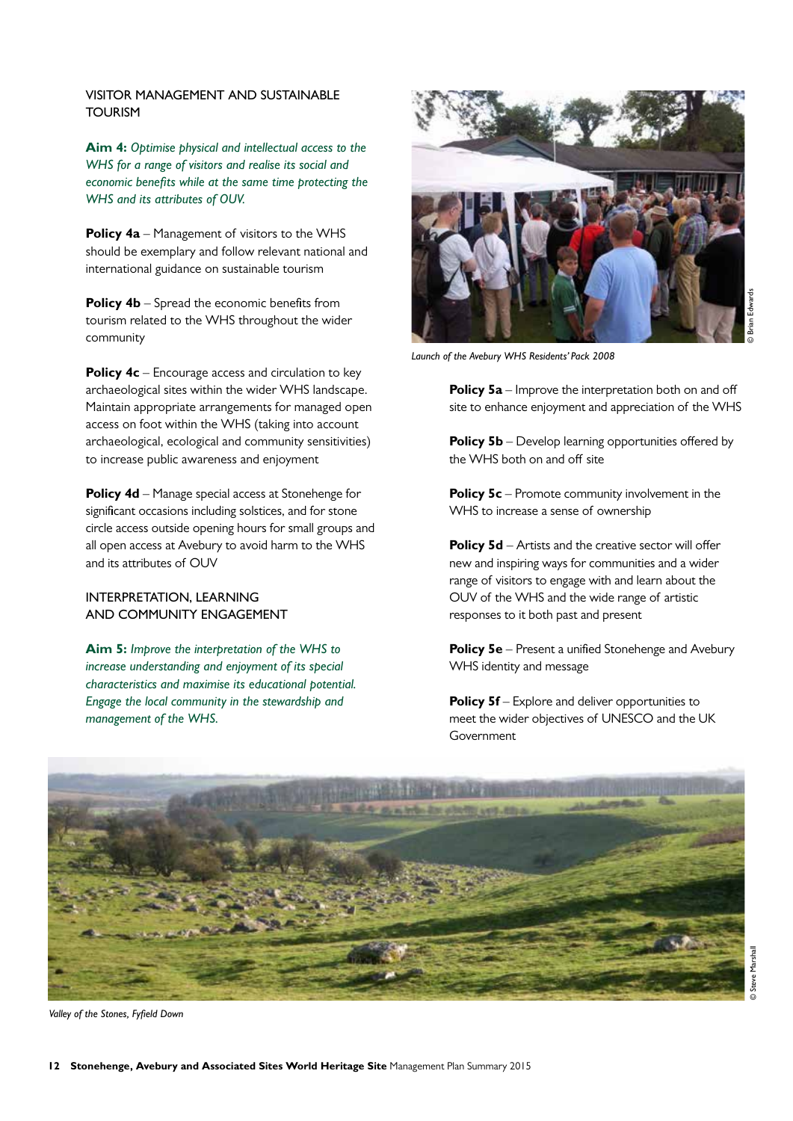#### VISITOR MANAGEMENT AND SUSTAINABLE TOURISM

 **Aim 4:** *Optimise physical and intellectual access to the WHS for a range of visitors and realise its social and economic benefits while at the same time protecting the WHS and its attributes of OUV.*

**Policy 4a** – Management of visitors to the WHS should be exemplary and follow relevant national and international guidance on sustainable tourism

**Policy 4b** – Spread the economic benefits from tourism related to the WHS throughout the wider community

**Policy 4c** – Encourage access and circulation to key archaeological sites within the wider WHS landscape. Maintain appropriate arrangements for managed open access on foot within the WHS (taking into account archaeological, ecological and community sensitivities) to increase public awareness and enjoyment

**Policy 4d** – Manage special access at Stonehenge for significant occasions including solstices, and for stone circle access outside opening hours for small groups and all open access at Avebury to avoid harm to the WHS and its attributes of OUV

#### INTERPRETATION, LEARNING AND COMMUNITY ENGAGEMENT

**Aim 5:** *Improve the interpretation of the WHS to increase understanding and enjoyment of its special characteristics and maximise its educational potential. Engage the local community in the stewardship and management of the WHS.*



*Launch of the Avebury WHS Residents' Pack 2008*

**Policy 5a** – Improve the interpretation both on and off site to enhance enjoyment and appreciation of the WHS

**Policy 5b** – Develop learning opportunities offered by the WHS both on and off site

**Policy 5c** – Promote community involvement in the WHS to increase a sense of ownership

**Policy 5d** – Artists and the creative sector will offer new and inspiring ways for communities and a wider range of visitors to engage with and learn about the OUV of the WHS and the wide range of artistic responses to it both past and present

**Policy 5e** – Present a unified Stonehenge and Avebury WHS identity and message

**Policy 5f** – Explore and deliver opportunities to meet the wider objectives of UNESCO and the UK **Government** 



© Steve Marshall

*Valley of the Stones, Fyfield Down*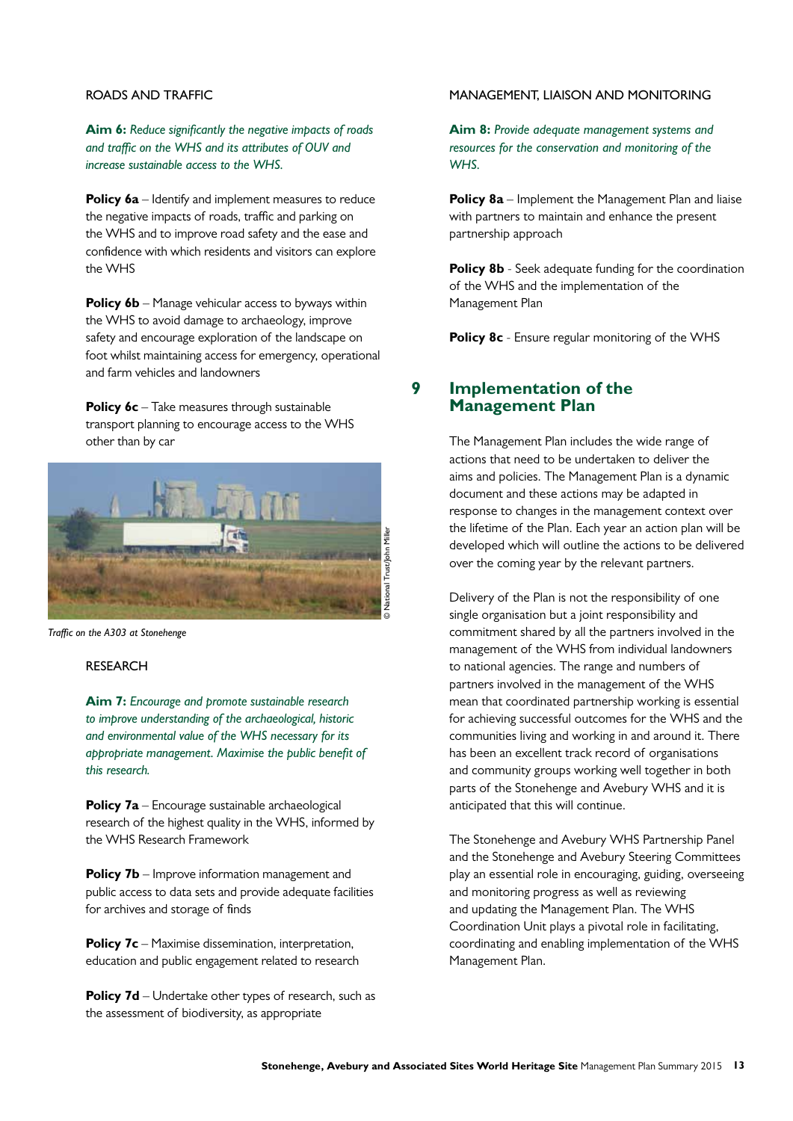#### ROADS AND TRAFFIC

**Aim 6:** *Reduce significantly the negative impacts of roads and traffic on the WHS and its attributes of OUV and increase sustainable access to the WHS.*

**Policy 6a** – Identify and implement measures to reduce the negative impacts of roads, traffic and parking on the WHS and to improve road safety and the ease and confidence with which residents and visitors can explore the WHS

**Policy 6b** – Manage vehicular access to byways within the WHS to avoid damage to archaeology, improve safety and encourage exploration of the landscape on foot whilst maintaining access for emergency, operational and farm vehicles and landowners

**Policy 6c** – Take measures through sustainable transport planning to encourage access to the WHS other than by car



*Traffic on the A303 at Stonehenge*

#### **RESEARCH**

**Aim 7:** *Encourage and promote sustainable research to improve understanding of the archaeological, historic and environmental value of the WHS necessary for its appropriate management. Maximise the public benefit of this research.*

**Policy 7a** – Encourage sustainable archaeological research of the highest quality in the WHS, informed by the WHS Research Framework

**Policy 7b** – Improve information management and public access to data sets and provide adequate facilities for archives and storage of finds

**Policy 7c** – Maximise dissemination, interpretation, education and public engagement related to research

**Policy 7d** – Undertake other types of research, such as the assessment of biodiversity, as appropriate

#### MANAGEMENT, LIAISON AND MONITORING

**Aim 8:** *Provide adequate management systems and resources for the conservation and monitoring of the WHS.*

**Policy 8a** – Implement the Management Plan and liaise with partners to maintain and enhance the present partnership approach

**Policy 8b** - Seek adequate funding for the coordination of the WHS and the implementation of the Management Plan

**Policy 8c** - Ensure regular monitoring of the WHS

# **9 Implementation of the Management Plan**

 The Management Plan includes the wide range of actions that need to be undertaken to deliver the aims and policies. The Management Plan is a dynamic document and these actions may be adapted in response to changes in the management context over the lifetime of the Plan. Each year an action plan will be developed which will outline the actions to be delivered over the coming year by the relevant partners.

**Standard Final Trust/Summary and Associated Sites World Heritage Site Management Plan Summary 2015 13<br>
Stonehenge, Avebury and Associated Sites World Heritage Site Management Plan Summary 2015 13<br>
Stonehenge, Avebury and**  Delivery of the Plan is not the responsibility of one single organisation but a joint responsibility and commitment shared by all the partners involved in the management of the WHS from individual landowners to national agencies. The range and numbers of partners involved in the management of the WHS mean that coordinated partnership working is essential for achieving successful outcomes for the WHS and the communities living and working in and around it. There has been an excellent track record of organisations and community groups working well together in both parts of the Stonehenge and Avebury WHS and it is anticipated that this will continue.

 The Stonehenge and Avebury WHS Partnership Panel and the Stonehenge and Avebury Steering Committees play an essential role in encouraging, guiding, overseeing and monitoring progress as well as reviewing and updating the Management Plan. The WHS Coordination Unit plays a pivotal role in facilitating, coordinating and enabling implementation of the WHS Management Plan.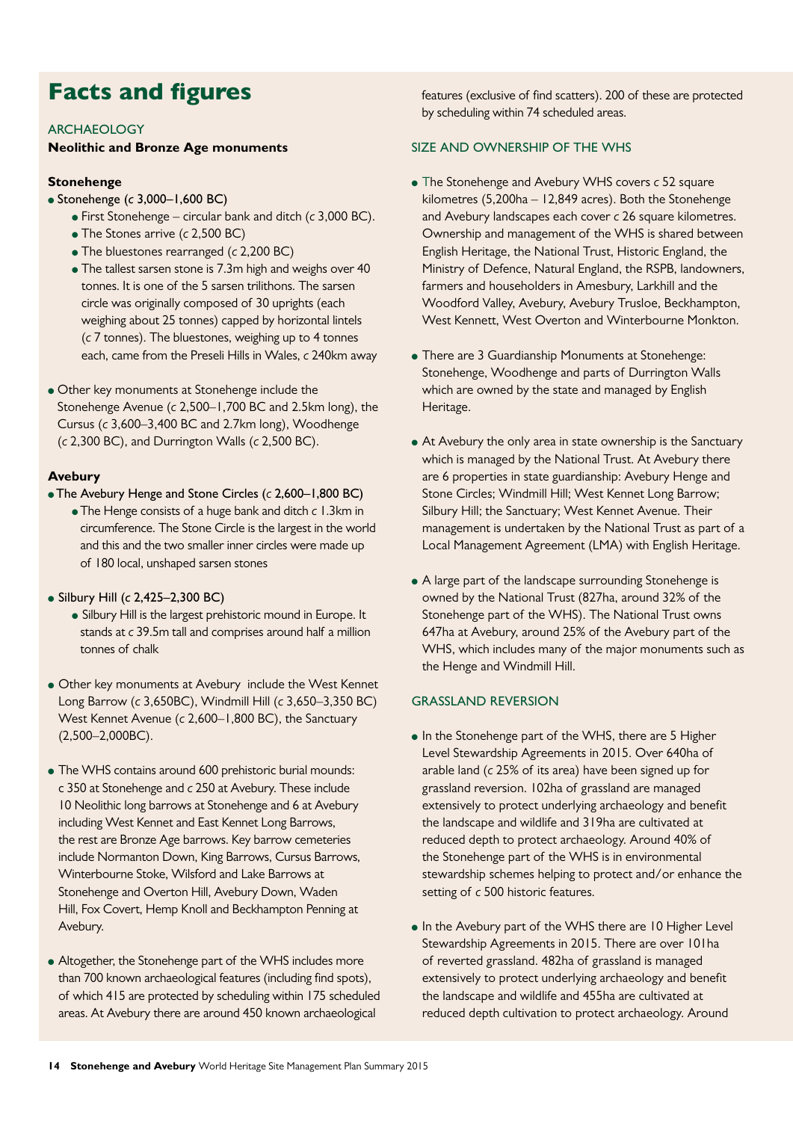# Facts and figures

#### ARCHAEOLOGY

#### **Neolithic and Bronze Age monuments**

#### **Stonehenge**

- Stonehenge (*c* 3,000–1,600 BC)
	- First Stonehenge circular bank and ditch (*c* 3,000 BC).
	- The Stones arrive (*c* 2,500 BC)
	- The bluestones rearranged (*c* 2,200 BC)
	- The tallest sarsen stone is 7.3m high and weighs over 40 tonnes. It is one of the 5 sarsen trilithons. The sarsen circle was originally composed of 30 uprights (each weighing about 25 tonnes) capped by horizontal lintels (*c* 7 tonnes). The bluestones, weighing up to 4 tonnes each, came from the Preseli Hills in Wales, *c* 240km away
- Other key monuments at Stonehenge include the Stonehenge Avenue (*c* 2,500–1,700 BC and 2.5km long), the Cursus (*c* 3,600–3,400 BC and 2.7km long), Woodhenge (*c* 2,300 BC), and Durrington Walls (*c* 2,500 BC).

#### **Avebury**

- The Avebury Henge and Stone Circles (*c* 2,600–1,800 BC)
	- The Henge consists of a huge bank and ditch *c* 1.3km in circumference. The Stone Circle is the largest in the world and this and the two smaller inner circles were made up of 180 local, unshaped sarsen stones
- Silbury Hill (*c* 2,425–2,300 BC)
	- Silbury Hill is the largest prehistoric mound in Europe. It stands at *c* 39.5m tall and comprises around half a million tonnes of chalk
- Other key monuments at Avebury include the West Kennet Long Barrow (*c* 3,650BC), Windmill Hill (*c* 3,650–3,350 BC) West Kennet Avenue (*c* 2,600–1,800 BC), the Sanctuary (2,500–2,000BC).
- The WHS contains around 600 prehistoric burial mounds: c 350 at Stonehenge and *c* 250 at Avebury. These include 10 Neolithic long barrows at Stonehenge and 6 at Avebury including West Kennet and East Kennet Long Barrows, the rest are Bronze Age barrows. Key barrow cemeteries include Normanton Down, King Barrows, Cursus Barrows, Winterbourne Stoke, Wilsford and Lake Barrows at Stonehenge and Overton Hill, Avebury Down, Waden Hill, Fox Covert, Hemp Knoll and Beckhampton Penning at Avebury.
- Altogether, the Stonehenge part of the WHS includes more than 700 known archaeological features (including find spots), of which 415 are protected by scheduling within 175 scheduled areas. At Avebury there are around 450 known archaeological

features (exclusive of find scatters). 200 of these are protected by scheduling within 74 scheduled areas.

#### SIZE AND OWNERSHIP OF THE WHS

- The Stonehenge and Avebury WHS covers *c* 52 square kilometres (5,200ha – 12,849 acres). Both the Stonehenge and Avebury landscapes each cover *c* 26 square kilometres. Ownership and management of the WHS is shared between English Heritage, the National Trust, Historic England, the Ministry of Defence, Natural England, the RSPB, landowners, farmers and householders in Amesbury, Larkhill and the Woodford Valley, Avebury, Avebury Trusloe, Beckhampton, West Kennett, West Overton and Winterbourne Monkton.
- There are 3 Guardianship Monuments at Stonehenge: Stonehenge, Woodhenge and parts of Durrington Walls which are owned by the state and managed by English Heritage.
- At Avebury the only area in state ownership is the Sanctuary which is managed by the National Trust. At Avebury there are 6 properties in state guardianship: Avebury Henge and Stone Circles; Windmill Hill; West Kennet Long Barrow; Silbury Hill; the Sanctuary; West Kennet Avenue. Their management is undertaken by the National Trust as part of a Local Management Agreement (LMA) with English Heritage.
- A large part of the landscape surrounding Stonehenge is owned by the National Trust (827ha, around 32% of the Stonehenge part of the WHS). The National Trust owns 647ha at Avebury, around 25% of the Avebury part of the WHS, which includes many of the major monuments such as the Henge and Windmill Hill.

#### GRASSLAND REVERSION

- In the Stonehenge part of the WHS, there are 5 Higher Level Stewardship Agreements in 2015. Over 640ha of arable land (*c* 25% of its area) have been signed up for grassland reversion. 102ha of grassland are managed extensively to protect underlying archaeology and benefit the landscape and wildlife and 319ha are cultivated at reduced depth to protect archaeology. Around 40% of the Stonehenge part of the WHS is in environmental stewardship schemes helping to protect and/or enhance the setting of *c* 500 historic features.
- In the Avebury part of the WHS there are 10 Higher Level Stewardship Agreements in 2015. There are over 101ha of reverted grassland. 482ha of grassland is managed extensively to protect underlying archaeology and benefit the landscape and wildlife and 455ha are cultivated at reduced depth cultivation to protect archaeology. Around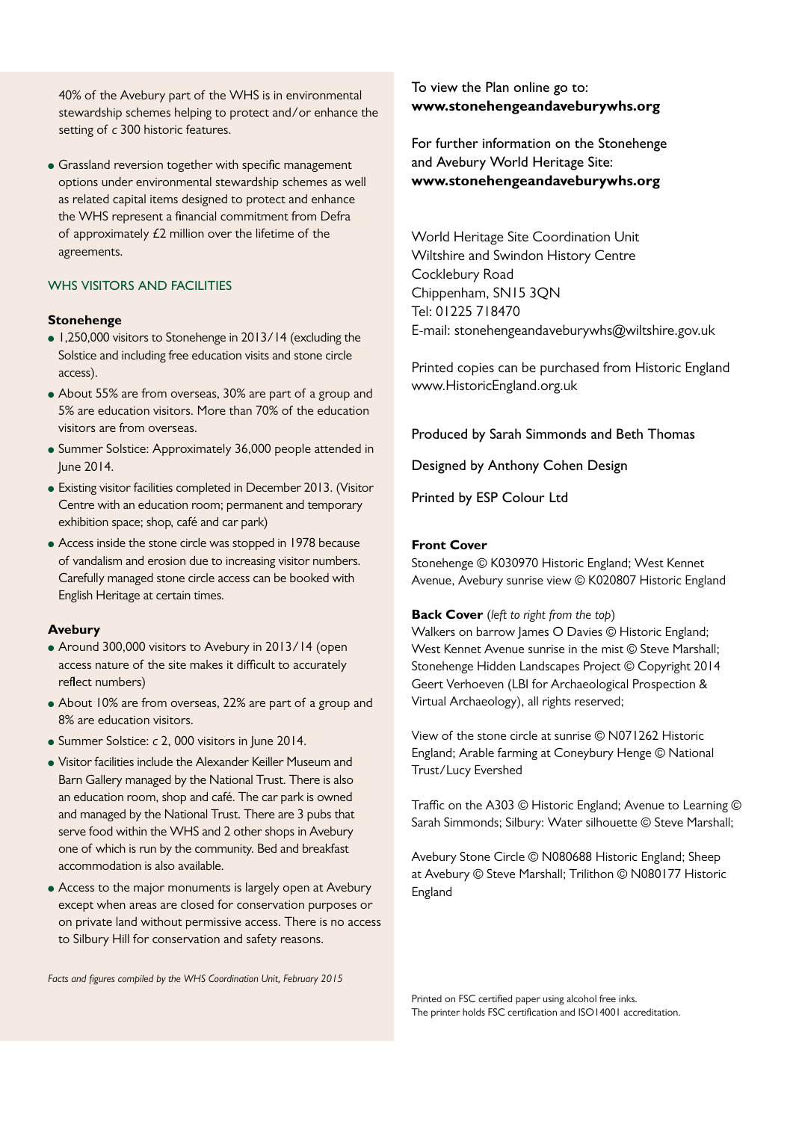40% of the Avebury part of the WHS is in environmental stewardship schemes helping to protect and/or enhance the setting of *c* 300 historic features.

• Grassland reversion together with specific management options under environmental stewardship schemes as well as related capital items designed to protect and enhance the WHS represent a financial commitment from Defra of approximately £2 million over the lifetime of the agreements.

### WHS VISITORS AND FACILITIES

#### **Stonehenge**

- 1,250,000 visitors to Stonehenge in 2013/14 (excluding the Solstice and including free education visits and stone circle access).
- About 55% are from overseas, 30% are part of a group and 5% are education visitors. More than 70% of the education visitors are from overseas.
- Summer Solstice: Approximately 36,000 people attended in June 2014.
- Existing visitor facilities completed in December 2013. (Visitor Centre with an education room; permanent and temporary exhibition space; shop, café and car park)
- Access inside the stone circle was stopped in 1978 because of vandalism and erosion due to increasing visitor numbers. Carefully managed stone circle access can be booked with English Heritage at certain times.

#### **Avebury**

- Around 300,000 visitors to Avebury in 2013/14 (open access nature of the site makes it difficult to accurately reflect numbers)
- About 10% are from overseas, 22% are part of a group and 8% are education visitors.
- Summer Solstice: *c* 2, 000 visitors in June 2014.
- Visitor facilities include the Alexander Keiller Museum and Barn Gallery managed by the National Trust. There is also an education room, shop and café. The car park is owned and managed by the National Trust. There are 3 pubs that serve food within the WHS and 2 other shops in Avebury one of which is run by the community. Bed and breakfast accommodation is also available.
- Access to the major monuments is largely open at Avebury except when areas are closed for conservation purposes or on private land without permissive access. There is no access to Silbury Hill for conservation and safety reasons.

To view the Plan online go to: **www.stonehengeandaveburywhs.org**

For further information on the Stonehenge and Avebury World Heritage Site: **www.stonehengeandaveburywhs.org**

World Heritage Site Coordination Unit Wiltshire and Swindon History Centre Cocklebury Road Chippenham, SN15 3QN Tel: 01225 718470 E-mail: stonehengeandaveburywhs@wiltshire.gov.uk

Printed copies can be purchased from Historic England www.HistoricEngland.org.uk

Produced by Sarah Simmonds and Beth Thomas

Designed by Anthony Cohen Design

Printed by ESP Colour Ltd

#### **Front Cover**

Stonehenge © K030970 Historic England; West Kennet Avenue, Avebury sunrise view © K020807 Historic England

**Back Cover** (*left to right from the top*)

Walkers on barrow James O Davies © Historic England; West Kennet Avenue sunrise in the mist © Steve Marshall; Stonehenge Hidden Landscapes Project © Copyright 2014 Geert Verhoeven (LBI for Archaeological Prospection & Virtual Archaeology), all rights reserved;

View of the stone circle at sunrise © N071262 Historic England; Arable farming at Coneybury Henge © National Trust/Lucy Evershed

Traffic on the A303 © Historic England; Avenue to Learning © Sarah Simmonds; Silbury: Water silhouette © Steve Marshall;

Avebury Stone Circle © N080688 Historic England; Sheep at Avebury © Steve Marshall; Trilithon © N080177 Historic England

*Facts and figures compiled by the WHS Coordination Unit, February 2015*

Printed on FSC certified paper using alcohol free inks. The printer holds FSC certification and ISO14001 accreditation.